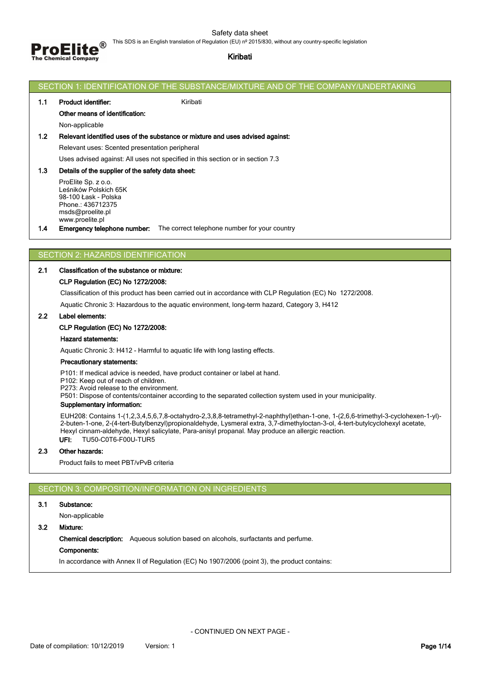Safety data sheet



# This SDS is an English translation of Regulation (EU) nº 2015/830, without any country-specific legislation

# **Kiribati**

|       | SECTION 1: IDENTIFICATION OF THE SUBSTANCE/MIXTURE AND OF THE COMPANY/UNDERTAKING                                                                                                                                                                                                                                                                                                                    |
|-------|------------------------------------------------------------------------------------------------------------------------------------------------------------------------------------------------------------------------------------------------------------------------------------------------------------------------------------------------------------------------------------------------------|
| 1.1   | Kiribati<br>Product identifier:                                                                                                                                                                                                                                                                                                                                                                      |
|       | Other means of identification:                                                                                                                                                                                                                                                                                                                                                                       |
|       | Non-applicable                                                                                                                                                                                                                                                                                                                                                                                       |
| $1.2$ | Relevant identified uses of the substance or mixture and uses advised against:                                                                                                                                                                                                                                                                                                                       |
|       | Relevant uses: Scented presentation peripheral                                                                                                                                                                                                                                                                                                                                                       |
|       | Uses advised against: All uses not specified in this section or in section 7.3                                                                                                                                                                                                                                                                                                                       |
| 1.3   | Details of the supplier of the safety data sheet:<br>ProElite Sp. z o.o.<br>Leśników Polskich 65K<br>98-100 Łask - Polska<br>Phone.: 436712375<br>msds@proelite.pl                                                                                                                                                                                                                                   |
| 1.4   | www.proelite.pl<br><b>Emergency telephone number:</b> The correct telephone number for your country                                                                                                                                                                                                                                                                                                  |
|       |                                                                                                                                                                                                                                                                                                                                                                                                      |
|       | SECTION 2: HAZARDS IDENTIFICATION                                                                                                                                                                                                                                                                                                                                                                    |
| 2.1   | Classification of the substance or mixture:                                                                                                                                                                                                                                                                                                                                                          |
|       | CLP Regulation (EC) No 1272/2008:                                                                                                                                                                                                                                                                                                                                                                    |
|       | Classification of this product has been carried out in accordance with CLP Regulation (EC) No 1272/2008.                                                                                                                                                                                                                                                                                             |
|       | Aquatic Chronic 3: Hazardous to the aquatic environment, long-term hazard, Category 3, H412                                                                                                                                                                                                                                                                                                          |
| 2.2   | Label elements:                                                                                                                                                                                                                                                                                                                                                                                      |
|       | <b>CLP Regulation (EC) No 1272/2008:</b>                                                                                                                                                                                                                                                                                                                                                             |
|       | <b>Hazard statements:</b>                                                                                                                                                                                                                                                                                                                                                                            |
|       | Aquatic Chronic 3: H412 - Harmful to aquatic life with long lasting effects.                                                                                                                                                                                                                                                                                                                         |
|       | Precautionary statements:                                                                                                                                                                                                                                                                                                                                                                            |
|       | P101: If medical advice is needed, have product container or label at hand.<br>P102: Keep out of reach of children.<br>P273: Avoid release to the environment.<br>P501: Dispose of contents/container according to the separated collection system used in your municipality.<br>Supplementary information:                                                                                          |
|       | EUH208: Contains 1-(1,2,3,4,5,6,7,8-octahydro-2,3,8,8-tetramethyl-2-naphthyl)ethan-1-one, 1-(2,6,6-trimethyl-3-cyclohexen-1-yl)-<br>2-buten-1-one, 2-(4-tert-Butylbenzyl)propionaldehyde, Lysmeral extra, 3,7-dimethyloctan-3-ol, 4-tert-butylcyclohexyl acetate,<br>Hexyl cinnam-aldehyde, Hexyl salicylate, Para-anisyl propanal. May produce an allergic reaction.<br>TU50-C0T6-F00U-TUR5<br>UFI: |
| 2.3   | Other hazards:                                                                                                                                                                                                                                                                                                                                                                                       |
|       | Product fails to meet PBT/vPvB criteria                                                                                                                                                                                                                                                                                                                                                              |
|       |                                                                                                                                                                                                                                                                                                                                                                                                      |
|       | SECTION 3: COMPOSITION/INFORMATION ON INGREDIENTS                                                                                                                                                                                                                                                                                                                                                    |
| 3.1   | Substance:                                                                                                                                                                                                                                                                                                                                                                                           |
|       | Non-applicable                                                                                                                                                                                                                                                                                                                                                                                       |

**3.2 Mixture:**

**Chemical description:** Aqueous solution based on alcohols, surfactants and perfume.

**Components:**

In accordance with Annex II of Regulation (EC) No 1907/2006 (point 3), the product contains: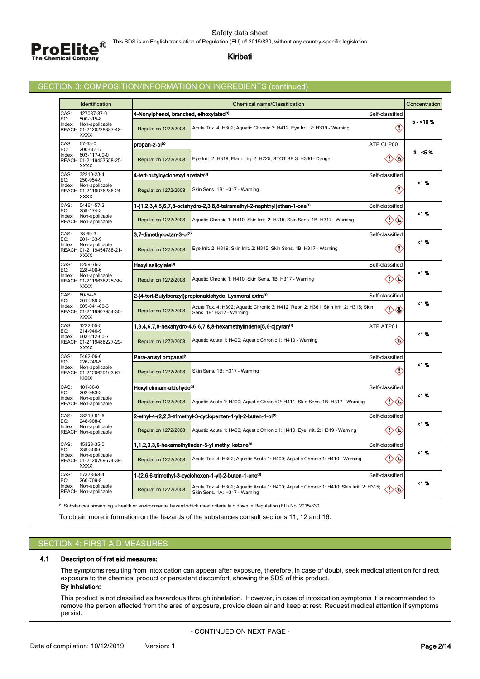

### **Kiribati**

# SECTION 3: COMPOSITION/INFORMATION ON INGREDIENTS (continued)

| 127087-87-0<br>4-Nonylphenol, branched, ethoxylated <sup>(1)</sup><br>Self-classified<br>EC:<br>500-315-8<br>5 - <10 %<br>Non-applicable<br>K)<br>Acute Tox. 4: H302; Aquatic Chronic 3: H412; Eye Irrit. 2: H319 - Warning<br><b>Regulation 1272/2008</b><br><b>XXXX</b><br>67-63-0<br>propan-2-ol <sup>(1)</sup><br>ATP CLP00<br>EC:<br>200-661-7<br>$3 - 5%$<br>603-117-00-0<br>$\langle \cdot \rangle$<br>Eye Irrit. 2: H319; Flam. Lig. 2: H225; STOT SE 3: H336 - Danger<br><b>Regulation 1272/2008</b><br><b>XXXX</b><br>32210-23-4<br>4-tert-butylcyclohexyl acetate <sup>(1)</sup><br>Self-classified<br>EC:<br>250-954-9<br><1 %<br>Non-applicable<br>Ĉ,<br>Skin Sens. 1B: H317 - Warning<br><b>Regulation 1272/2008</b><br><b>XXXX</b><br>54464-57-2<br>1-(1,2,3,4,5,6,7,8-octahydro-2,3,8,8-tetramethyl-2-naphthyl)ethan-1-one <sup>(1)</sup><br>Self-classified<br>EC:<br>259-174-3<br><1 %<br>Non-applicable<br>$\langle$ .<br>(I)<br><b>Regulation 1272/2008</b><br>Aquatic Chronic 1: H410; Skin Irrit. 2: H315; Skin Sens. 1B: H317 - Warning<br>78-69-3<br>3,7-dimethyloctan-3-ol <sup>(1)</sup><br>Self-classified<br>EC:<br>201-133-9<br><1 %<br>Non-applicable<br>◇<br>Eye Irrit. 2: H319; Skin Irrit. 2: H315; Skin Sens. 1B: H317 - Warning<br><b>Regulation 1272/2008</b><br><b>XXXX</b><br>6259-76-3<br>Hexyl salicylate <sup>(1)</sup><br>Self-classified<br>EC:<br>228-408-6<br><1 %<br>Non-applicable<br>Aquatic Chronic 1: H410; Skin Sens. 1B: H317 - Warning<br>Œ<br><b>Regulation 1272/2008</b><br><b>XXXX</b><br>80-54-6<br>2-(4-tert-Butylbenzyl)propionaldehyde, Lysmeral extra <sup>(1)</sup><br>Self-classified<br>EC:<br>201-289-8<br><1 %<br>605-041-00-3<br>Acute Tox. 4: H302; Aquatic Chronic 3: H412; Repr. 2: H361; Skin Irrit. 2: H315; Skin<br>$^\diamondsuit$<br>Œ<br><b>Regulation 1272/2008</b><br>Sens. 1B: H317 - Warning<br><b>XXXX</b><br>1222-05-5<br>ATP ATP01<br>1,3,4,6,7,8-hexahydro-4,6,6,7,8,8-hexamethylindeno[5,6-c]pyran <sup>(1)</sup><br>EC:<br>214-946-9<br><1 %<br>603-212-00-7<br>€<br>Aquatic Acute 1: H400; Aquatic Chronic 1: H410 - Warning<br><b>Regulation 1272/2008</b><br><b>XXXX</b><br>5462-06-6<br>Para-anisyl propanal(1)<br>Self-classified<br>EC:<br>226-749-5<br><1 %<br>Non-applicable<br>K)<br>Skin Sens. 1B: H317 - Warning<br><b>Regulation 1272/2008</b><br><b>XXXX</b><br>101-86-0<br>Hexyl cinnam-aldehyde <sup>(1)</sup><br>Self-classified<br>EC:<br>202-983-3<br><1 %<br>Non-applicable<br>$\langle$ . $\rangle$<br><b>Regulation 1272/2008</b><br>Aquatic Acute 1: H400; Aquatic Chronic 2: H411; Skin Sens. 1B: H317 - Warning<br>3<br>28219-61-6<br>2-ethyl-4-(2,2,3-trimethyl-3-cyclopenten-1-yl)-2-buten-1-ol <sup>(1)</sup><br>Self-classified<br>EC:<br>248-908-8<br><1 %<br>Non-applicable<br>Aquatic Acute 1: H400; Aquatic Chronic 1: H410; Eye Irrit. 2: H319 - Warning<br>Ω<br>$\left\langle \cdot \right\rangle$<br><b>Regulation 1272/2008</b><br>15323-35-0<br>1,1,2,3,3,6-hexamethylindan-5-yl methyl ketone <sup>(1)</sup><br>Self-classified<br>EC:<br>239-360-0<br><1 %<br>Non-applicable<br>$\langle \cdot \rangle$<br>Acute Tox. 4: H302; Aquatic Acute 1: H400; Aquatic Chronic 1: H410 - Warning<br>Ω<br><b>Regulation 1272/2008</b><br><b>XXXX</b><br>57378-68-4<br>1-(2,6,6-trimethyl-3-cyclohexen-1-yl)-2-buten-1-one <sup>(1)</sup><br>Self-classified<br>260-709-8<br>EC:<br><1 %<br>Non-applicable<br>Acute Tox. 4: H302; Aquatic Acute 1: H400; Aquatic Chronic 1: H410; Skin Irrit. 2: H315;<br>〈!〉<br><b>Regulation 1272/2008</b><br>∖€<br>Skin Sens. 1A: H317 - Warning | <b>Identification</b>              |  | <b>Chemical name/Classification</b> |  | Concentration |  |
|-------------------------------------------------------------------------------------------------------------------------------------------------------------------------------------------------------------------------------------------------------------------------------------------------------------------------------------------------------------------------------------------------------------------------------------------------------------------------------------------------------------------------------------------------------------------------------------------------------------------------------------------------------------------------------------------------------------------------------------------------------------------------------------------------------------------------------------------------------------------------------------------------------------------------------------------------------------------------------------------------------------------------------------------------------------------------------------------------------------------------------------------------------------------------------------------------------------------------------------------------------------------------------------------------------------------------------------------------------------------------------------------------------------------------------------------------------------------------------------------------------------------------------------------------------------------------------------------------------------------------------------------------------------------------------------------------------------------------------------------------------------------------------------------------------------------------------------------------------------------------------------------------------------------------------------------------------------------------------------------------------------------------------------------------------------------------------------------------------------------------------------------------------------------------------------------------------------------------------------------------------------------------------------------------------------------------------------------------------------------------------------------------------------------------------------------------------------------------------------------------------------------------------------------------------------------------------------------------------------------------------------------------------------------------------------------------------------------------------------------------------------------------------------------------------------------------------------------------------------------------------------------------------------------------------------------------------------------------------------------------------------------------------------------------------------------------------------------------------------------------------------------------------------------------------------------------------------------------------------------------------------------------------------------------------------------------------------------------------------------------------------------------------------------------------------------------------------------------------------------------------------------------------------------------------------------------------------------------------|------------------------------------|--|-------------------------------------|--|---------------|--|
|                                                                                                                                                                                                                                                                                                                                                                                                                                                                                                                                                                                                                                                                                                                                                                                                                                                                                                                                                                                                                                                                                                                                                                                                                                                                                                                                                                                                                                                                                                                                                                                                                                                                                                                                                                                                                                                                                                                                                                                                                                                                                                                                                                                                                                                                                                                                                                                                                                                                                                                                                                                                                                                                                                                                                                                                                                                                                                                                                                                                                                                                                                                                                                                                                                                                                                                                                                                                                                                                                                                                                                                                       | CAS:                               |  |                                     |  |               |  |
|                                                                                                                                                                                                                                                                                                                                                                                                                                                                                                                                                                                                                                                                                                                                                                                                                                                                                                                                                                                                                                                                                                                                                                                                                                                                                                                                                                                                                                                                                                                                                                                                                                                                                                                                                                                                                                                                                                                                                                                                                                                                                                                                                                                                                                                                                                                                                                                                                                                                                                                                                                                                                                                                                                                                                                                                                                                                                                                                                                                                                                                                                                                                                                                                                                                                                                                                                                                                                                                                                                                                                                                                       | Index:<br>REACH: 01-2120228887-42- |  |                                     |  |               |  |
|                                                                                                                                                                                                                                                                                                                                                                                                                                                                                                                                                                                                                                                                                                                                                                                                                                                                                                                                                                                                                                                                                                                                                                                                                                                                                                                                                                                                                                                                                                                                                                                                                                                                                                                                                                                                                                                                                                                                                                                                                                                                                                                                                                                                                                                                                                                                                                                                                                                                                                                                                                                                                                                                                                                                                                                                                                                                                                                                                                                                                                                                                                                                                                                                                                                                                                                                                                                                                                                                                                                                                                                                       | CAS:                               |  |                                     |  |               |  |
|                                                                                                                                                                                                                                                                                                                                                                                                                                                                                                                                                                                                                                                                                                                                                                                                                                                                                                                                                                                                                                                                                                                                                                                                                                                                                                                                                                                                                                                                                                                                                                                                                                                                                                                                                                                                                                                                                                                                                                                                                                                                                                                                                                                                                                                                                                                                                                                                                                                                                                                                                                                                                                                                                                                                                                                                                                                                                                                                                                                                                                                                                                                                                                                                                                                                                                                                                                                                                                                                                                                                                                                                       | Index:<br>REACH: 01-2119457558-25- |  |                                     |  |               |  |
|                                                                                                                                                                                                                                                                                                                                                                                                                                                                                                                                                                                                                                                                                                                                                                                                                                                                                                                                                                                                                                                                                                                                                                                                                                                                                                                                                                                                                                                                                                                                                                                                                                                                                                                                                                                                                                                                                                                                                                                                                                                                                                                                                                                                                                                                                                                                                                                                                                                                                                                                                                                                                                                                                                                                                                                                                                                                                                                                                                                                                                                                                                                                                                                                                                                                                                                                                                                                                                                                                                                                                                                                       | CAS:                               |  |                                     |  |               |  |
|                                                                                                                                                                                                                                                                                                                                                                                                                                                                                                                                                                                                                                                                                                                                                                                                                                                                                                                                                                                                                                                                                                                                                                                                                                                                                                                                                                                                                                                                                                                                                                                                                                                                                                                                                                                                                                                                                                                                                                                                                                                                                                                                                                                                                                                                                                                                                                                                                                                                                                                                                                                                                                                                                                                                                                                                                                                                                                                                                                                                                                                                                                                                                                                                                                                                                                                                                                                                                                                                                                                                                                                                       | Index:<br>REACH: 01-2119976286-24- |  |                                     |  |               |  |
|                                                                                                                                                                                                                                                                                                                                                                                                                                                                                                                                                                                                                                                                                                                                                                                                                                                                                                                                                                                                                                                                                                                                                                                                                                                                                                                                                                                                                                                                                                                                                                                                                                                                                                                                                                                                                                                                                                                                                                                                                                                                                                                                                                                                                                                                                                                                                                                                                                                                                                                                                                                                                                                                                                                                                                                                                                                                                                                                                                                                                                                                                                                                                                                                                                                                                                                                                                                                                                                                                                                                                                                                       | CAS:                               |  |                                     |  |               |  |
|                                                                                                                                                                                                                                                                                                                                                                                                                                                                                                                                                                                                                                                                                                                                                                                                                                                                                                                                                                                                                                                                                                                                                                                                                                                                                                                                                                                                                                                                                                                                                                                                                                                                                                                                                                                                                                                                                                                                                                                                                                                                                                                                                                                                                                                                                                                                                                                                                                                                                                                                                                                                                                                                                                                                                                                                                                                                                                                                                                                                                                                                                                                                                                                                                                                                                                                                                                                                                                                                                                                                                                                                       | Index:<br>REACH: Non-applicable    |  |                                     |  |               |  |
|                                                                                                                                                                                                                                                                                                                                                                                                                                                                                                                                                                                                                                                                                                                                                                                                                                                                                                                                                                                                                                                                                                                                                                                                                                                                                                                                                                                                                                                                                                                                                                                                                                                                                                                                                                                                                                                                                                                                                                                                                                                                                                                                                                                                                                                                                                                                                                                                                                                                                                                                                                                                                                                                                                                                                                                                                                                                                                                                                                                                                                                                                                                                                                                                                                                                                                                                                                                                                                                                                                                                                                                                       | CAS:                               |  |                                     |  |               |  |
|                                                                                                                                                                                                                                                                                                                                                                                                                                                                                                                                                                                                                                                                                                                                                                                                                                                                                                                                                                                                                                                                                                                                                                                                                                                                                                                                                                                                                                                                                                                                                                                                                                                                                                                                                                                                                                                                                                                                                                                                                                                                                                                                                                                                                                                                                                                                                                                                                                                                                                                                                                                                                                                                                                                                                                                                                                                                                                                                                                                                                                                                                                                                                                                                                                                                                                                                                                                                                                                                                                                                                                                                       | Index:<br>REACH: 01-2119454788-21- |  |                                     |  |               |  |
|                                                                                                                                                                                                                                                                                                                                                                                                                                                                                                                                                                                                                                                                                                                                                                                                                                                                                                                                                                                                                                                                                                                                                                                                                                                                                                                                                                                                                                                                                                                                                                                                                                                                                                                                                                                                                                                                                                                                                                                                                                                                                                                                                                                                                                                                                                                                                                                                                                                                                                                                                                                                                                                                                                                                                                                                                                                                                                                                                                                                                                                                                                                                                                                                                                                                                                                                                                                                                                                                                                                                                                                                       | CAS:                               |  |                                     |  |               |  |
|                                                                                                                                                                                                                                                                                                                                                                                                                                                                                                                                                                                                                                                                                                                                                                                                                                                                                                                                                                                                                                                                                                                                                                                                                                                                                                                                                                                                                                                                                                                                                                                                                                                                                                                                                                                                                                                                                                                                                                                                                                                                                                                                                                                                                                                                                                                                                                                                                                                                                                                                                                                                                                                                                                                                                                                                                                                                                                                                                                                                                                                                                                                                                                                                                                                                                                                                                                                                                                                                                                                                                                                                       | Index:<br>REACH: 01-2119638275-36- |  |                                     |  |               |  |
|                                                                                                                                                                                                                                                                                                                                                                                                                                                                                                                                                                                                                                                                                                                                                                                                                                                                                                                                                                                                                                                                                                                                                                                                                                                                                                                                                                                                                                                                                                                                                                                                                                                                                                                                                                                                                                                                                                                                                                                                                                                                                                                                                                                                                                                                                                                                                                                                                                                                                                                                                                                                                                                                                                                                                                                                                                                                                                                                                                                                                                                                                                                                                                                                                                                                                                                                                                                                                                                                                                                                                                                                       | CAS:                               |  |                                     |  |               |  |
|                                                                                                                                                                                                                                                                                                                                                                                                                                                                                                                                                                                                                                                                                                                                                                                                                                                                                                                                                                                                                                                                                                                                                                                                                                                                                                                                                                                                                                                                                                                                                                                                                                                                                                                                                                                                                                                                                                                                                                                                                                                                                                                                                                                                                                                                                                                                                                                                                                                                                                                                                                                                                                                                                                                                                                                                                                                                                                                                                                                                                                                                                                                                                                                                                                                                                                                                                                                                                                                                                                                                                                                                       | Index:<br>REACH: 01-2119907954-30- |  |                                     |  |               |  |
|                                                                                                                                                                                                                                                                                                                                                                                                                                                                                                                                                                                                                                                                                                                                                                                                                                                                                                                                                                                                                                                                                                                                                                                                                                                                                                                                                                                                                                                                                                                                                                                                                                                                                                                                                                                                                                                                                                                                                                                                                                                                                                                                                                                                                                                                                                                                                                                                                                                                                                                                                                                                                                                                                                                                                                                                                                                                                                                                                                                                                                                                                                                                                                                                                                                                                                                                                                                                                                                                                                                                                                                                       | CAS:                               |  |                                     |  |               |  |
|                                                                                                                                                                                                                                                                                                                                                                                                                                                                                                                                                                                                                                                                                                                                                                                                                                                                                                                                                                                                                                                                                                                                                                                                                                                                                                                                                                                                                                                                                                                                                                                                                                                                                                                                                                                                                                                                                                                                                                                                                                                                                                                                                                                                                                                                                                                                                                                                                                                                                                                                                                                                                                                                                                                                                                                                                                                                                                                                                                                                                                                                                                                                                                                                                                                                                                                                                                                                                                                                                                                                                                                                       | Index:<br>REACH: 01-2119488227-29- |  |                                     |  |               |  |
|                                                                                                                                                                                                                                                                                                                                                                                                                                                                                                                                                                                                                                                                                                                                                                                                                                                                                                                                                                                                                                                                                                                                                                                                                                                                                                                                                                                                                                                                                                                                                                                                                                                                                                                                                                                                                                                                                                                                                                                                                                                                                                                                                                                                                                                                                                                                                                                                                                                                                                                                                                                                                                                                                                                                                                                                                                                                                                                                                                                                                                                                                                                                                                                                                                                                                                                                                                                                                                                                                                                                                                                                       | CAS:                               |  |                                     |  |               |  |
|                                                                                                                                                                                                                                                                                                                                                                                                                                                                                                                                                                                                                                                                                                                                                                                                                                                                                                                                                                                                                                                                                                                                                                                                                                                                                                                                                                                                                                                                                                                                                                                                                                                                                                                                                                                                                                                                                                                                                                                                                                                                                                                                                                                                                                                                                                                                                                                                                                                                                                                                                                                                                                                                                                                                                                                                                                                                                                                                                                                                                                                                                                                                                                                                                                                                                                                                                                                                                                                                                                                                                                                                       | Index:<br>REACH: 01-2120629103-67- |  |                                     |  |               |  |
|                                                                                                                                                                                                                                                                                                                                                                                                                                                                                                                                                                                                                                                                                                                                                                                                                                                                                                                                                                                                                                                                                                                                                                                                                                                                                                                                                                                                                                                                                                                                                                                                                                                                                                                                                                                                                                                                                                                                                                                                                                                                                                                                                                                                                                                                                                                                                                                                                                                                                                                                                                                                                                                                                                                                                                                                                                                                                                                                                                                                                                                                                                                                                                                                                                                                                                                                                                                                                                                                                                                                                                                                       | CAS:                               |  |                                     |  |               |  |
|                                                                                                                                                                                                                                                                                                                                                                                                                                                                                                                                                                                                                                                                                                                                                                                                                                                                                                                                                                                                                                                                                                                                                                                                                                                                                                                                                                                                                                                                                                                                                                                                                                                                                                                                                                                                                                                                                                                                                                                                                                                                                                                                                                                                                                                                                                                                                                                                                                                                                                                                                                                                                                                                                                                                                                                                                                                                                                                                                                                                                                                                                                                                                                                                                                                                                                                                                                                                                                                                                                                                                                                                       | Index:<br>REACH: Non-applicable    |  |                                     |  |               |  |
|                                                                                                                                                                                                                                                                                                                                                                                                                                                                                                                                                                                                                                                                                                                                                                                                                                                                                                                                                                                                                                                                                                                                                                                                                                                                                                                                                                                                                                                                                                                                                                                                                                                                                                                                                                                                                                                                                                                                                                                                                                                                                                                                                                                                                                                                                                                                                                                                                                                                                                                                                                                                                                                                                                                                                                                                                                                                                                                                                                                                                                                                                                                                                                                                                                                                                                                                                                                                                                                                                                                                                                                                       | CAS:                               |  |                                     |  |               |  |
|                                                                                                                                                                                                                                                                                                                                                                                                                                                                                                                                                                                                                                                                                                                                                                                                                                                                                                                                                                                                                                                                                                                                                                                                                                                                                                                                                                                                                                                                                                                                                                                                                                                                                                                                                                                                                                                                                                                                                                                                                                                                                                                                                                                                                                                                                                                                                                                                                                                                                                                                                                                                                                                                                                                                                                                                                                                                                                                                                                                                                                                                                                                                                                                                                                                                                                                                                                                                                                                                                                                                                                                                       | Index:<br>REACH: Non-applicable    |  |                                     |  |               |  |
|                                                                                                                                                                                                                                                                                                                                                                                                                                                                                                                                                                                                                                                                                                                                                                                                                                                                                                                                                                                                                                                                                                                                                                                                                                                                                                                                                                                                                                                                                                                                                                                                                                                                                                                                                                                                                                                                                                                                                                                                                                                                                                                                                                                                                                                                                                                                                                                                                                                                                                                                                                                                                                                                                                                                                                                                                                                                                                                                                                                                                                                                                                                                                                                                                                                                                                                                                                                                                                                                                                                                                                                                       | CAS:                               |  |                                     |  |               |  |
|                                                                                                                                                                                                                                                                                                                                                                                                                                                                                                                                                                                                                                                                                                                                                                                                                                                                                                                                                                                                                                                                                                                                                                                                                                                                                                                                                                                                                                                                                                                                                                                                                                                                                                                                                                                                                                                                                                                                                                                                                                                                                                                                                                                                                                                                                                                                                                                                                                                                                                                                                                                                                                                                                                                                                                                                                                                                                                                                                                                                                                                                                                                                                                                                                                                                                                                                                                                                                                                                                                                                                                                                       | Index:<br>REACH: 01-2120769674-39- |  |                                     |  |               |  |
|                                                                                                                                                                                                                                                                                                                                                                                                                                                                                                                                                                                                                                                                                                                                                                                                                                                                                                                                                                                                                                                                                                                                                                                                                                                                                                                                                                                                                                                                                                                                                                                                                                                                                                                                                                                                                                                                                                                                                                                                                                                                                                                                                                                                                                                                                                                                                                                                                                                                                                                                                                                                                                                                                                                                                                                                                                                                                                                                                                                                                                                                                                                                                                                                                                                                                                                                                                                                                                                                                                                                                                                                       | CAS:                               |  |                                     |  |               |  |
|                                                                                                                                                                                                                                                                                                                                                                                                                                                                                                                                                                                                                                                                                                                                                                                                                                                                                                                                                                                                                                                                                                                                                                                                                                                                                                                                                                                                                                                                                                                                                                                                                                                                                                                                                                                                                                                                                                                                                                                                                                                                                                                                                                                                                                                                                                                                                                                                                                                                                                                                                                                                                                                                                                                                                                                                                                                                                                                                                                                                                                                                                                                                                                                                                                                                                                                                                                                                                                                                                                                                                                                                       | Index:<br>REACH: Non-applicable    |  |                                     |  |               |  |

<sup>(1)</sup> Substances presenting a health or environmental hazard which meet criteria laid down in Regulation (EU) No. 2015/830

To obtain more information on the hazards of the substances consult sections 11, 12 and 16.

# SECTION 4: FIRST AID MEASURES

# **4.1 Description of first aid measures:**

The symptoms resulting from intoxication can appear after exposure, therefore, in case of doubt, seek medical attention for direct exposure to the chemical product or persistent discomfort, showing the SDS of this product.

# **By inhalation:**

This product is not classified as hazardous through inhalation. However, in case of intoxication symptoms it is recommended to remove the person affected from the area of exposure, provide clean air and keep at rest. Request medical attention if symptoms persist.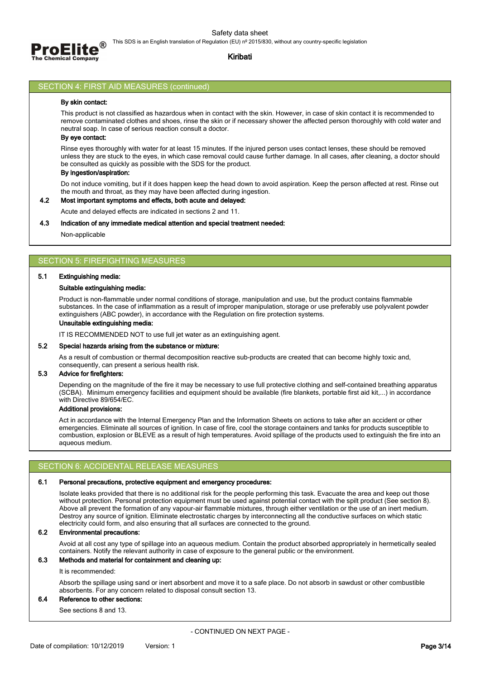

### **Kiribati**

### SECTION 4: FIRST AID MEASURES (continued)

### **By skin contact:**

This product is not classified as hazardous when in contact with the skin. However, in case of skin contact it is recommended to remove contaminated clothes and shoes, rinse the skin or if necessary shower the affected person thoroughly with cold water and neutral soap. In case of serious reaction consult a doctor.

### **By eye contact:**

Rinse eyes thoroughly with water for at least 15 minutes. If the injured person uses contact lenses, these should be removed unless they are stuck to the eyes, in which case removal could cause further damage. In all cases, after cleaning, a doctor should be consulted as quickly as possible with the SDS for the product.

## **By ingestion/aspiration:**

Do not induce vomiting, but if it does happen keep the head down to avoid aspiration. Keep the person affected at rest. Rinse out the mouth and throat, as they may have been affected during ingestion.

### **4.2 Most important symptoms and effects, both acute and delayed:**

Acute and delayed effects are indicated in sections 2 and 11.

#### **4.3 Indication of any immediate medical attention and special treatment needed:**

Non-applicable

# SECTION 5: FIREFIGHTING MEASURES

### **5.1 Extinguishing media:**

### **Suitable extinguishing media:**

Product is non-flammable under normal conditions of storage, manipulation and use, but the product contains flammable substances. In the case of inflammation as a result of improper manipulation, storage or use preferably use polyvalent powder extinguishers (ABC powder), in accordance with the Regulation on fire protection systems.

## **Unsuitable extinguishing media:**

IT IS RECOMMENDED NOT to use full jet water as an extinguishing agent.

#### **5.2 Special hazards arising from the substance or mixture:**

As a result of combustion or thermal decomposition reactive sub-products are created that can become highly toxic and, consequently, can present a serious health risk.

### **5.3 Advice for firefighters:**

Depending on the magnitude of the fire it may be necessary to use full protective clothing and self-contained breathing apparatus (SCBA). Minimum emergency facilities and equipment should be available (fire blankets, portable first aid kit,...) in accordance with Directive 89/654/EC.

### **Additional provisions:**

Act in accordance with the Internal Emergency Plan and the Information Sheets on actions to take after an accident or other emergencies. Eliminate all sources of ignition. In case of fire, cool the storage containers and tanks for products susceptible to combustion, explosion or BLEVE as a result of high temperatures. Avoid spillage of the products used to extinguish the fire into an aqueous medium.

### SECTION 6: ACCIDENTAL RELEASE MEASURES

#### **6.1 Personal precautions, protective equipment and emergency procedures:**

Isolate leaks provided that there is no additional risk for the people performing this task. Evacuate the area and keep out those without protection. Personal protection equipment must be used against potential contact with the spilt product (See section 8). Above all prevent the formation of any vapour-air flammable mixtures, through either ventilation or the use of an inert medium. Destroy any source of ignition. Eliminate electrostatic charges by interconnecting all the conductive surfaces on which static electricity could form, and also ensuring that all surfaces are connected to the ground.

#### **6.2 Environmental precautions:**

Avoid at all cost any type of spillage into an aqueous medium. Contain the product absorbed appropriately in hermetically sealed containers. Notify the relevant authority in case of exposure to the general public or the environment.

## **6.3 Methods and material for containment and cleaning up:**

#### It is recommended:

Absorb the spillage using sand or inert absorbent and move it to a safe place. Do not absorb in sawdust or other combustible absorbents. For any concern related to disposal consult section 13.

### **6.4 Reference to other sections:**

See sections 8 and 13.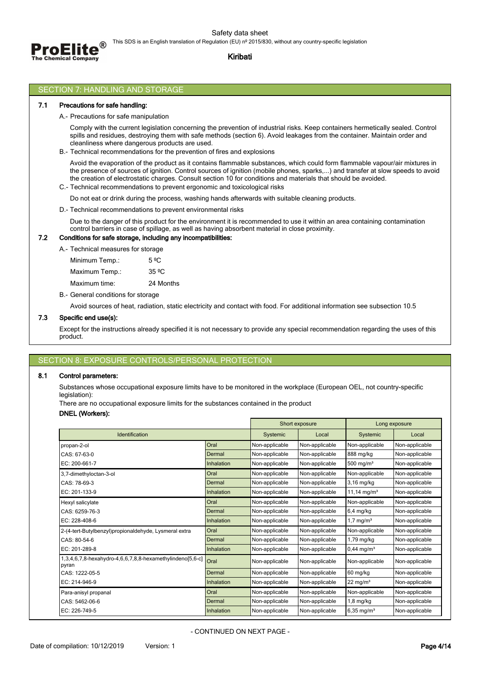

# Safety data sheet

This SDS is an English translation of Regulation (EU) nº 2015/830, without any country-specific legislation

# **Kiribati**

## SECTION 7: HANDLING AND STORAGE

### **7.1 Precautions for safe handling:**

### A.- Precautions for safe manipulation

Comply with the current legislation concerning the prevention of industrial risks. Keep containers hermetically sealed. Control spills and residues, destroying them with safe methods (section 6). Avoid leakages from the container. Maintain order and cleanliness where dangerous products are used.

B.- Technical recommendations for the prevention of fires and explosions

Avoid the evaporation of the product as it contains flammable substances, which could form flammable vapour/air mixtures in the presence of sources of ignition. Control sources of ignition (mobile phones, sparks,...) and transfer at slow speeds to avoid the creation of electrostatic charges. Consult section 10 for conditions and materials that should be avoided.

C.- Technical recommendations to prevent ergonomic and toxicological risks

Do not eat or drink during the process, washing hands afterwards with suitable cleaning products.

D.- Technical recommendations to prevent environmental risks

Due to the danger of this product for the environment it is recommended to use it within an area containing contamination control barriers in case of spillage, as well as having absorbent material in close proximity.

### **7.2 Conditions for safe storage, including any incompatibilities:**

A.- Technical measures for storage

Minimum Temp.: 5 °C Maximum Temp.: 35 °C

Maximum time: 24 Months

B.- General conditions for storage

Avoid sources of heat, radiation, static electricity and contact with food. For additional information see subsection 10.5

## **7.3 Specific end use(s):**

Except for the instructions already specified it is not necessary to provide any special recommendation regarding the uses of this product.

## SECTION 8: EXPOSURE CONTROLS/PERSONAL PROTE

## **8.1 Control parameters:**

Substances whose occupational exposure limits have to be monitored in the workplace (European OEL, not country-specific legislation):

There are no occupational exposure limits for the substances contained in the product

### **DNEL (Workers):**

|                                                                    |            |                | Short exposure |                         | Long exposure  |
|--------------------------------------------------------------------|------------|----------------|----------------|-------------------------|----------------|
| Identification                                                     |            | Systemic       | Local          | Systemic                | Local          |
| propan-2-ol                                                        | Oral       | Non-applicable | Non-applicable | Non-applicable          | Non-applicable |
| CAS: 67-63-0                                                       | Dermal     | Non-applicable | Non-applicable | 888 mg/kg               | Non-applicable |
| EC: 200-661-7                                                      | Inhalation | Non-applicable | Non-applicable | 500 mg/ $m3$            | Non-applicable |
| 3,7-dimethyloctan-3-ol                                             | Oral       | Non-applicable | Non-applicable | Non-applicable          | Non-applicable |
| CAS: 78-69-3                                                       | Dermal     | Non-applicable | Non-applicable | 3.16 mg/kg              | Non-applicable |
| EC: 201-133-9                                                      | Inhalation | Non-applicable | Non-applicable | 11,14 mg/m <sup>3</sup> | Non-applicable |
| Hexyl salicylate                                                   | Oral       | Non-applicable | Non-applicable | Non-applicable          | Non-applicable |
| CAS: 6259-76-3                                                     | Dermal     | Non-applicable | Non-applicable | $6,4$ mg/kg             | Non-applicable |
| $EC: 228-408-6$                                                    | Inhalation | Non-applicable | Non-applicable | $1.7 \text{ mg/m}^3$    | Non-applicable |
| 2-(4-tert-Butylbenzyl)propionaldehyde, Lysmeral extra              | Oral       | Non-applicable | Non-applicable | Non-applicable          | Non-applicable |
| CAS: 80-54-6                                                       | Dermal     | Non-applicable | Non-applicable | 1,79 mg/kg              | Non-applicable |
| EC: 201-289-8                                                      | Inhalation | Non-applicable | Non-applicable | $0,44 \text{ mg/m}^3$   | Non-applicable |
| 1,3,4,6,7,8-hexahydro-4,6,6,7,8,8-hexamethylindeno[5,6-c]<br>pyran | Oral       | Non-applicable | Non-applicable | Non-applicable          | Non-applicable |
| CAS: 1222-05-5                                                     | Dermal     | Non-applicable | Non-applicable | 60 mg/kg                | Non-applicable |
| EC: 214-946-9                                                      | Inhalation | Non-applicable | Non-applicable | $22 \text{ mg/m}^3$     | Non-applicable |
| Para-anisyl propanal                                               | Oral       | Non-applicable | Non-applicable | Non-applicable          | Non-applicable |
| CAS: 5462-06-6                                                     | Dermal     | Non-applicable | Non-applicable | $1,8$ mg/kg             | Non-applicable |
| EC: 226-749-5                                                      | Inhalation | Non-applicable | Non-applicable | 6.35 mg/m <sup>3</sup>  | Non-applicable |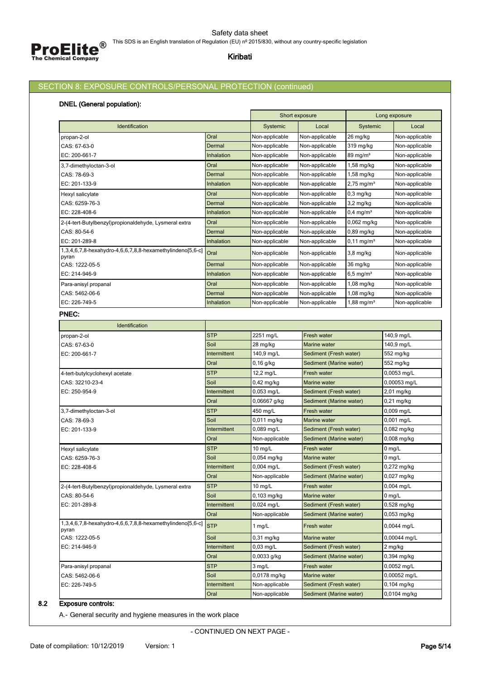# SECTION 8: EXPOSURE CONTROLS/PERSONAL PROTECTION (continued)

# **DNEL (General population):**

|                                                                    |                      | Short exposure          |                             | Long exposure            |                        |  |
|--------------------------------------------------------------------|----------------------|-------------------------|-----------------------------|--------------------------|------------------------|--|
| Identification                                                     |                      | Systemic                | Local                       | Systemic                 | Local                  |  |
| propan-2-ol                                                        | Oral                 | Non-applicable          | Non-applicable              | 26 mg/kg                 | Non-applicable         |  |
| CAS: 67-63-0                                                       | Dermal               | Non-applicable          | Non-applicable              | 319 mg/kg                | Non-applicable         |  |
| EC: 200-661-7                                                      | Inhalation           | Non-applicable          | Non-applicable              | 89 mg/m <sup>3</sup>     | Non-applicable         |  |
| 3,7-dimethyloctan-3-ol                                             | Oral                 | Non-applicable          | Non-applicable              | 1,58 mg/kg               | Non-applicable         |  |
| CAS: 78-69-3                                                       | Dermal               | Non-applicable          | Non-applicable              | 1,58 mg/kg               | Non-applicable         |  |
| EC: 201-133-9                                                      | Inhalation           | Non-applicable          | Non-applicable              | $2,75 \,\mathrm{mg/m^3}$ | Non-applicable         |  |
| Hexyl salicylate                                                   | Oral                 | Non-applicable          | Non-applicable              | 0,3 mg/kg                | Non-applicable         |  |
| CAS: 6259-76-3                                                     | Dermal               | Non-applicable          | Non-applicable              | 3,2 mg/kg                | Non-applicable         |  |
| EC: 228-408-6                                                      | Inhalation           | Non-applicable          | Non-applicable              | $0,4$ mg/m <sup>3</sup>  | Non-applicable         |  |
| 2-(4-tert-Butylbenzyl)propionaldehyde, Lysmeral extra              | Oral                 | Non-applicable          | Non-applicable              | 0,062 mg/kg              | Non-applicable         |  |
| CAS: 80-54-6                                                       | Dermal               | Non-applicable          | Non-applicable              | 0,89 mg/kg               | Non-applicable         |  |
| EC: 201-289-8                                                      | Inhalation           | Non-applicable          | Non-applicable              | $0,11 \,\mathrm{mg/m^3}$ | Non-applicable         |  |
| 1,3,4,6,7,8-hexahydro-4,6,6,7,8,8-hexamethylindeno[5,6-c]<br>pyran | Oral                 | Non-applicable          | Non-applicable              | 3,8 mg/kg                | Non-applicable         |  |
| CAS: 1222-05-5                                                     | Dermal               | Non-applicable          | Non-applicable              | 36 mg/kg                 | Non-applicable         |  |
| EC: 214-946-9                                                      | Inhalation           | Non-applicable          | Non-applicable              | $6,5 \text{ mg/m}^3$     | Non-applicable         |  |
| Para-anisyl propanal                                               | Oral                 | Non-applicable          | Non-applicable              | 1,08 mg/kg               | Non-applicable         |  |
| CAS: 5462-06-6                                                     | Dermal               | Non-applicable          | Non-applicable              | 1,08 mg/kg               | Non-applicable         |  |
| EC: 226-749-5                                                      | Inhalation           | Non-applicable          | Non-applicable              | $1,88 \text{ mg/m}^3$    | Non-applicable         |  |
| PNEC:                                                              |                      |                         |                             |                          |                        |  |
| Identification                                                     |                      |                         |                             |                          |                        |  |
| propan-2-ol                                                        | <b>STP</b>           | 2251 mg/L               | Fresh water                 |                          | 140,9 mg/L             |  |
| CAS: 67-63-0                                                       | Soil                 | 28 mg/kg                | Marine water                |                          | 140,9 mg/L             |  |
| EC: 200-661-7                                                      | Intermittent         | 140,9 mg/L              | Sediment (Fresh water)      |                          | 552 mg/kg              |  |
|                                                                    | Oral                 | $0,16$ g/kg             | Sediment (Marine water)     |                          | 552 mg/kg              |  |
| 4-tert-butylcyclohexyl acetate                                     | <b>STP</b>           | 12,2 mg/L               | Fresh water                 |                          | 0,0053 mg/L            |  |
| CAS: 32210-23-4                                                    | Soil                 | 0,42 mg/kg              | <b>Marine water</b>         |                          | 0,00053 mg/L           |  |
| EC: 250-954-9                                                      | Intermittent         | 0,053 mg/L              | Sediment (Fresh water)      |                          | 2,01 mg/kg             |  |
|                                                                    | Oral                 | 0,06667 g/kg            | Sediment (Marine water)     |                          | 0,21 mg/kg             |  |
| 3,7-dimethyloctan-3-ol                                             | <b>STP</b>           | 450 mg/L                | Fresh water                 |                          | 0,009 mg/L             |  |
| CAS: 78-69-3                                                       | Soil                 | $0,011$ mg/kg           | Marine water                |                          | $0,001$ mg/L           |  |
| EC: 201-133-9                                                      | Intermittent         | 0,089 mg/L              | Sediment (Fresh water)      |                          | 0,082 mg/kg            |  |
|                                                                    | Oral                 | Non-applicable          | Sediment (Marine water)     |                          | $0,008$ mg/kg          |  |
| Hexyl salicylate                                                   | <b>STP</b>           | $10$ mg/L               | <b>Fresh water</b>          |                          | $0$ mg/L               |  |
| CAS: 6259-76-3                                                     | Soil                 | $0,054$ mg/kg           | <b>Marine water</b>         |                          | 0 mg/L                 |  |
| EC: 228-408-6                                                      | Intermittent         | $0,004$ mg/L            | Sediment (Fresh water)      |                          | 0,272 mg/kg            |  |
|                                                                    | Oral                 | Non-applicable          | Sediment (Marine water)     |                          | 0,027 mg/kg            |  |
| 2-(4-tert-Butylbenzyl)propionaldehyde, Lysmeral extra              | <b>STP</b>           | $10$ mg/L               | Fresh water                 |                          | 0,004 mg/L             |  |
| CAS: 80-54-6                                                       | Soil                 | 0,103 mg/kg             | Marine water                |                          | $0$ mg/L               |  |
| EC: 201-289-8                                                      | Intermittent         | 0,024 mg/L              | Sediment (Fresh water)      |                          | 0,528 mg/kg            |  |
| 1,3,4,6,7,8-hexahydro-4,6,6,7,8,8-hexamethylindeno[5,6-c]          | Oral                 | Non-applicable          | Sediment (Marine water)     |                          | $0,053$ mg/kg          |  |
| pyran                                                              | <b>STP</b>           | 1 $mg/L$                | <b>Fresh water</b>          |                          | 0,0044 mg/L            |  |
| CAS: 1222-05-5                                                     | Soil                 | 0,31 mg/kg<br>0,03 mg/L | Marine water                |                          | 0,00044 mg/L           |  |
| EC: 214-946-9                                                      | Intermittent<br>Oral | 0,0033 g/kg             | Sediment (Fresh water)      |                          | 2 mg/kg<br>0,394 mg/kg |  |
|                                                                    | <b>STP</b>           |                         | Sediment (Marine water)     |                          | 0,0052 mg/L            |  |
| Para-anisyl propanal<br>CAS: 5462-06-6                             | Soil                 | 3 mg/L<br>0,0178 mg/kg  | Fresh water<br>Marine water |                          | 0,00052 mg/L           |  |
| EC: 226-749-5                                                      | Intermittent         | Non-applicable          | Sediment (Fresh water)      |                          | $0,104$ mg/kg          |  |
|                                                                    | Oral                 | Non-applicable          | Sediment (Marine water)     |                          | 0,0104 mg/kg           |  |
|                                                                    |                      |                         |                             |                          |                        |  |

# **8.2 Exposure controls:**

A.- General security and hygiene measures in the work place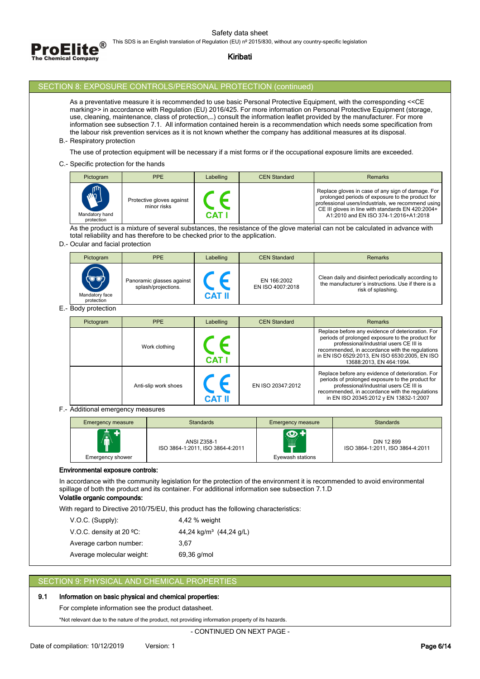Safety data sheet



This SDS is an English translation of Regulation (EU) nº 2015/830, without any country-specific legislation

## **Kiribati**

## SECTION 8: EXPOSURE CONTROLS/PERSONAL PROTECTION (continued)

As a preventative measure it is recommended to use basic Personal Protective Equipment, with the corresponding <<CE marking>> in accordance with Regulation (EU) 2016/425. For more information on Personal Protective Equipment (storage, use, cleaning, maintenance, class of protection,…) consult the information leaflet provided by the manufacturer. For more information see subsection 7.1. All information contained herein is a recommendation which needs some specification from the labour risk prevention services as it is not known whether the company has additional measures at its disposal.

B.- Respiratory protection

The use of protection equipment will be necessary if a mist forms or if the occupational exposure limits are exceeded.

C.- Specific protection for the hands

| Pictogram                                    | PPE                                      | Labelling    | <b>CEN Standard</b> | <b>Remarks</b>                                                                                                                                                                                                                                            |
|----------------------------------------------|------------------------------------------|--------------|---------------------|-----------------------------------------------------------------------------------------------------------------------------------------------------------------------------------------------------------------------------------------------------------|
| $\mathbb{Z}$<br>Mandatory hand<br>protection | Protective gloves against<br>minor risks | <b>CAT I</b> |                     | Replace gloves in case of any sign of damage. For<br>prolonged periods of exposure to the product for<br>professional users/industrials, we recommend using<br>CE III gloves in line with standards EN 420:2004+<br>A1:2010 and EN ISO 374-1:2016+A1:2018 |

As the product is a mixture of several substances, the resistance of the glove material can not be calculated in advance with total reliability and has therefore to be checked prior to the application.

### D.- Ocular and facial protection

| Pictogram                             | <b>PPE</b>                                       | Labelling     | <b>CEN Standard</b>             | <b>Remarks</b>                                                                                                                  |
|---------------------------------------|--------------------------------------------------|---------------|---------------------------------|---------------------------------------------------------------------------------------------------------------------------------|
| ৻ভ∙ত৳<br>Mandatory face<br>protection | Panoramic glasses against<br>splash/projections. | <b>CAT II</b> | EN 166:2002<br>EN ISO 4007:2018 | Clean daily and disinfect periodically according to<br>the manufacturer's instructions. Use if there is a<br>risk of splashing. |

# E.- Body protection

| Pictogram | PPE                  | Labelling          | <b>CEN Standard</b> | <b>Remarks</b>                                                                                                                                                                                                                                                                   |
|-----------|----------------------|--------------------|---------------------|----------------------------------------------------------------------------------------------------------------------------------------------------------------------------------------------------------------------------------------------------------------------------------|
|           | Work clothing        | CAT                |                     | Replace before any evidence of deterioration. For<br>periods of prolonged exposure to the product for<br>professional/industrial users CE III is<br>recommended, in accordance with the regulations<br>in EN ISO 6529:2013, EN ISO 6530:2005, EN ISO<br>13688:2013, EN 464:1994. |
|           | Anti-slip work shoes | CE<br><b>CAT I</b> | EN ISO 20347:2012   | Replace before any evidence of deterioration. For<br>periods of prolonged exposure to the product for<br>professional/industrial users CE III is<br>recommended, in accordance with the regulations<br>in EN ISO 20345:2012 y EN 13832-1:2007                                    |

F.- Additional emergency measures

| <b>Emergency measure</b>          | <b>Standards</b>                                       | <b>Emergency measure</b>             | <b>Standards</b>                               |
|-----------------------------------|--------------------------------------------------------|--------------------------------------|------------------------------------------------|
| 鸁<br>÷<br><b>Emergency shower</b> | <b>ANSI Z358-1</b><br>ISO 3864-1:2011, ISO 3864-4:2011 | $\odot$<br><br>Ŧ<br>Eyewash stations | DIN 12 899<br>ISO 3864-1:2011, ISO 3864-4:2011 |

### **Environmental exposure controls:**

In accordance with the community legislation for the protection of the environment it is recommended to avoid environmental spillage of both the product and its container. For additional information see subsection 7.1.D

## **Volatile organic compounds:**

With regard to Directive 2010/75/EU, this product has the following characteristics:

| $V.O.C.$ (Supply):                 | 4,42 % weight                                 |
|------------------------------------|-----------------------------------------------|
| V.O.C. density at 20 $^{\circ}$ C: | 44,24 kg/m <sup>3</sup> $(44,24 \text{ g/L})$ |
| Average carbon number:             | 3.67                                          |
| Average molecular weight:          | 69,36 g/mol                                   |

# SECTION 9: PHYSICAL AND CHEMICAL PROPERTIES

## **9.1 Information on basic physical and chemical properties:**

For complete information see the product datasheet.

\*Not relevant due to the nature of the product, not providing information property of its hazards.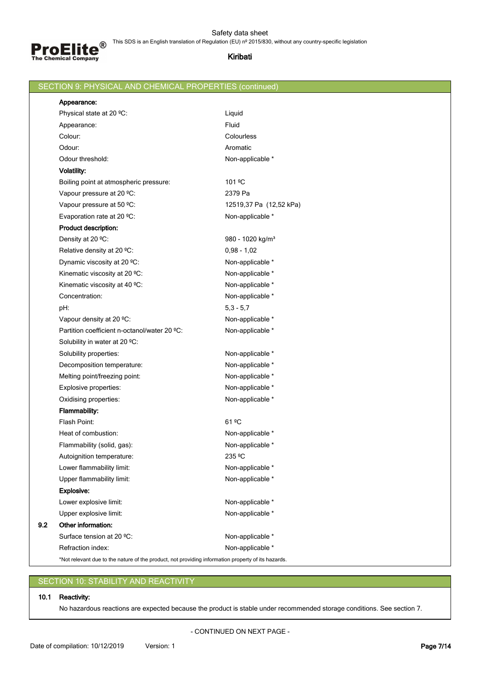

|     | SECTION 9: PHYSICAL AND CHEMICAL PROPERTIES (continued)                                            |                              |
|-----|----------------------------------------------------------------------------------------------------|------------------------------|
|     | Appearance:                                                                                        |                              |
|     | Physical state at 20 °C:                                                                           | Liquid                       |
|     | Appearance:                                                                                        | Fluid                        |
|     | Colour:                                                                                            | Colourless                   |
|     | Odour:                                                                                             | Aromatic                     |
|     | Odour threshold:                                                                                   | Non-applicable *             |
|     | <b>Volatility:</b>                                                                                 |                              |
|     | Boiling point at atmospheric pressure:                                                             | 101 °C                       |
|     | Vapour pressure at 20 °C:                                                                          | 2379 Pa                      |
|     | Vapour pressure at 50 °C:                                                                          | 12519,37 Pa (12,52 kPa)      |
|     | Evaporation rate at 20 °C:                                                                         | Non-applicable *             |
|     | Product description:                                                                               |                              |
|     | Density at 20 °C:                                                                                  | 980 - 1020 kg/m <sup>3</sup> |
|     | Relative density at 20 °C:                                                                         | $0,98 - 1,02$                |
|     | Dynamic viscosity at 20 °C:                                                                        | Non-applicable *             |
|     | Kinematic viscosity at 20 °C:                                                                      | Non-applicable *             |
|     | Kinematic viscosity at 40 °C:                                                                      | Non-applicable *             |
|     | Concentration:                                                                                     | Non-applicable *             |
|     | pH:                                                                                                | $5,3 - 5,7$                  |
|     | Vapour density at 20 °C:                                                                           | Non-applicable *             |
|     | Partition coefficient n-octanol/water 20 °C:                                                       | Non-applicable *             |
|     | Solubility in water at 20 °C:                                                                      |                              |
|     | Solubility properties:                                                                             | Non-applicable *             |
|     | Decomposition temperature:                                                                         | Non-applicable *             |
|     | Melting point/freezing point:                                                                      | Non-applicable *             |
|     | Explosive properties:                                                                              | Non-applicable *             |
|     | Oxidising properties:                                                                              | Non-applicable *             |
|     | <b>Flammability:</b>                                                                               |                              |
|     | Flash Point:                                                                                       | 61 <sup>o</sup> C            |
|     | Heat of combustion:                                                                                | Non-applicable *             |
|     | Flammability (solid, gas):                                                                         | Non-applicable *             |
|     | Autoignition temperature:                                                                          | 235 °C                       |
|     | Lower flammability limit:                                                                          | Non-applicable *             |
|     | Upper flammability limit:                                                                          | Non-applicable *             |
|     | <b>Explosive:</b>                                                                                  |                              |
|     | Lower explosive limit:                                                                             | Non-applicable *             |
|     | Upper explosive limit:                                                                             | Non-applicable *             |
| 9.2 | Other information:                                                                                 |                              |
|     | Surface tension at 20 °C:                                                                          | Non-applicable *             |
|     | Refraction index:                                                                                  | Non-applicable *             |
|     | *Not relevant due to the nature of the product, not providing information property of its hazards. |                              |

# SECTION 10: STABILITY AND REACTIVITY

# **10.1 Reactivity:**

No hazardous reactions are expected because the product is stable under recommended storage conditions. See section 7.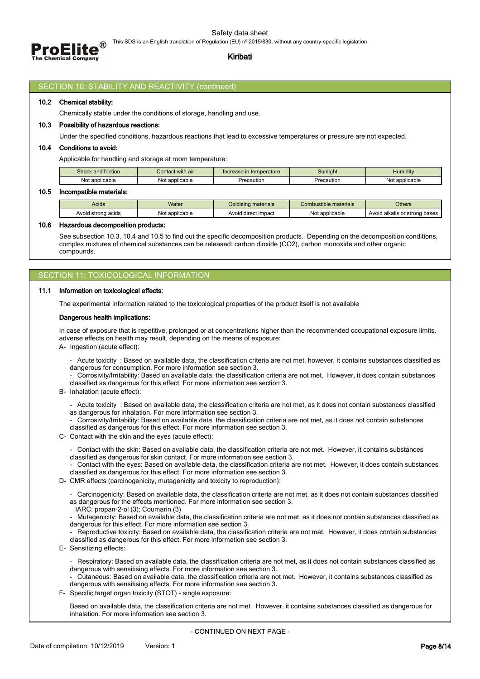



# **Kiribati**

### SECTION 10: STABILITY AND REACTIVITY (continued)

### **10.2 Chemical stability:**

Chemically stable under the conditions of storage, handling and use.

### **10.3 Possibility of hazardous reactions:**

Under the specified conditions, hazardous reactions that lead to excessive temperatures or pressure are not expected.

### **10.4 Conditions to avoid:**

Applicable for handling and storage at room temperature:

| Shock and friction | Contact with air | Increase in temperature | Sunliaht   | $\cdots$<br>Humiditv |
|--------------------|------------------|-------------------------|------------|----------------------|
| Not applicable     | Not applicable   | Precaution              | Precaution | Not applicable       |

#### **10.5 Incompatible materials:**

| N <sub>Io</sub> | Acids              | <b>Water</b>   | $\cdots$<br>Jxidisina materials | Combustible materials | <b>Others</b>                    |
|-----------------|--------------------|----------------|---------------------------------|-----------------------|----------------------------------|
|                 | Avoid strong acids | Not applicable | Avoid direct impact             | t applicable          | alkalis or strong bases<br>Avoid |

### **10.6 Hazardous decomposition products:**

See subsection 10.3, 10.4 and 10.5 to find out the specific decomposition products. Depending on the decomposition conditions, complex mixtures of chemical substances can be released: carbon dioxide (CO2), carbon monoxide and other organic compounds.

### SECTION 11: TOXICOLOGICAL INFORMATION

#### **11.1 Information on toxicological effects:**

The experimental information related to the toxicological properties of the product itself is not available

#### **Dangerous health implications:**

In case of exposure that is repetitive, prolonged or at concentrations higher than the recommended occupational exposure limits, adverse effects on health may result, depending on the means of exposure:

A- Ingestion (acute effect):

- Acute toxicity : Based on available data, the classification criteria are not met, however, it contains substances classified as dangerous for consumption. For more information see section 3.
- Corrosivity/Irritability: Based on available data, the classification criteria are not met. However, it does contain substances classified as dangerous for this effect. For more information see section 3.
- B- Inhalation (acute effect):
	- Acute toxicity : Based on available data, the classification criteria are not met, as it does not contain substances classified as dangerous for inhalation. For more information see section 3.
	- Corrosivity/Irritability: Based on available data, the classification criteria are not met, as it does not contain substances classified as dangerous for this effect. For more information see section 3.
- C- Contact with the skin and the eyes (acute effect):
- Contact with the skin: Based on available data, the classification criteria are not met. However, it contains substances
	- classified as dangerous for skin contact. For more information see section 3.
	- Contact with the eyes: Based on available data, the classification criteria are not met. However, it does contain substances classified as dangerous for this effect. For more information see section 3.
- D- CMR effects (carcinogenicity, mutagenicity and toxicity to reproduction):
	- Carcinogenicity: Based on available data, the classification criteria are not met, as it does not contain substances classified as dangerous for the effects mentioned. For more information see section 3.
	- IARC: propan-2-ol (3); Coumarin (3)
	- Mutagenicity: Based on available data, the classification criteria are not met, as it does not contain substances classified as dangerous for this effect. For more information see section 3.
	- Reproductive toxicity: Based on available data, the classification criteria are not met. However, it does contain substances classified as dangerous for this effect. For more information see section 3.
- E- Sensitizing effects:
	- Respiratory: Based on available data, the classification criteria are not met, as it does not contain substances classified as dangerous with sensitising effects. For more information see section 3.
	- Cutaneous: Based on available data, the classification criteria are not met. However, it contains substances classified as dangerous with sensitising effects. For more information see section 3.
- F- Specific target organ toxicity (STOT) single exposure:

Based on available data, the classification criteria are not met. However, it contains substances classified as dangerous for inhalation. For more information see section 3.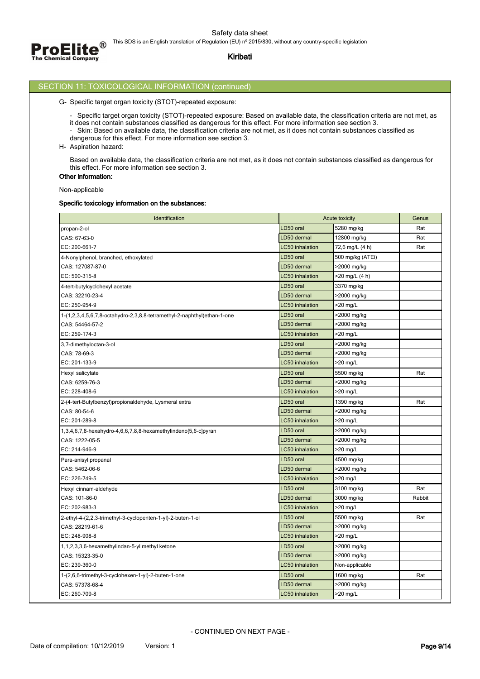

# SECTION 11: TOXICOLOGICAL INFORMATION (continued)

### G- Specific target organ toxicity (STOT)-repeated exposure:

- Specific target organ toxicity (STOT)-repeated exposure: Based on available data, the classification criteria are not met, as
- it does not contain substances classified as dangerous for this effect. For more information see section 3.
- Skin: Based on available data, the classification criteria are not met, as it does not contain substances classified as
- dangerous for this effect. For more information see section 3.
- H- Aspiration hazard:

Based on available data, the classification criteria are not met, as it does not contain substances classified as dangerous for this effect. For more information see section 3.

# **Other information:** Non-applicable

### **Specific toxicology information on the substances:**

| Identification                                                          |                        | Acute toxicity   | Genus  |
|-------------------------------------------------------------------------|------------------------|------------------|--------|
| propan-2-ol                                                             | LD50 oral              | 5280 mg/kg       | Rat    |
| CAS: 67-63-0                                                            | LD50 dermal            | 12800 mg/kg      | Rat    |
| EC: 200-661-7                                                           | <b>LC50</b> inhalation | 72,6 mg/L (4 h)  | Rat    |
| 4-Nonylphenol, branched, ethoxylated                                    | LD50 oral              | 500 mg/kg (ATEi) |        |
| CAS: 127087-87-0                                                        | LD50 dermal            | >2000 mg/kg      |        |
| EC: 500-315-8                                                           | <b>LC50</b> inhalation | >20 mg/L (4 h)   |        |
| 4-tert-butylcyclohexyl acetate                                          | LD50 oral              | 3370 mg/kg       |        |
| CAS: 32210-23-4                                                         | LD50 dermal            | >2000 mg/kg      |        |
| EC: 250-954-9                                                           | <b>LC50</b> inhalation | >20 mg/L         |        |
| 1-(1,2,3,4,5,6,7,8-octahydro-2,3,8,8-tetramethyl-2-naphthyl)ethan-1-one | LD50 oral              | >2000 mg/kg      |        |
| CAS: 54464-57-2                                                         | LD50 dermal            | >2000 mg/kg      |        |
| EC: 259-174-3                                                           | <b>LC50</b> inhalation | >20 mg/L         |        |
| 3,7-dimethyloctan-3-ol                                                  | LD50 oral              | >2000 mg/kg      |        |
| CAS: 78-69-3                                                            | LD50 dermal            | >2000 mg/kg      |        |
| EC: 201-133-9                                                           | <b>LC50</b> inhalation | >20 mg/L         |        |
| Hexyl salicylate                                                        | LD50 oral              | 5500 mg/kg       | Rat    |
| CAS: 6259-76-3                                                          | LD50 dermal            | >2000 mg/kg      |        |
| EC: 228-408-6                                                           | <b>LC50</b> inhalation | >20 mg/L         |        |
| 2-(4-tert-Butylbenzyl)propionaldehyde, Lysmeral extra                   | LD50 oral              | 1390 mg/kg       | Rat    |
| CAS: 80-54-6                                                            | LD50 dermal            | >2000 mg/kg      |        |
| EC: 201-289-8                                                           | <b>LC50</b> inhalation | >20 mg/L         |        |
| 1,3,4,6,7,8-hexahydro-4,6,6,7,8,8-hexamethylindeno[5,6-c]pyran          | LD50 oral              | >2000 mg/kg      |        |
| CAS: 1222-05-5                                                          | LD50 dermal            | >2000 mg/kg      |        |
| EC: 214-946-9                                                           | <b>LC50</b> inhalation | >20 mg/L         |        |
| Para-anisyl propanal                                                    | LD50 oral              | 4500 mg/kg       |        |
| CAS: 5462-06-6                                                          | LD50 dermal            | >2000 mg/kg      |        |
| EC: 226-749-5                                                           | <b>LC50</b> inhalation | >20 mg/L         |        |
| Hexyl cinnam-aldehyde                                                   | LD50 oral              | 3100 mg/kg       | Rat    |
| CAS: 101-86-0                                                           | LD50 dermal            | 3000 mg/kg       | Rabbit |
| EC: 202-983-3                                                           | <b>LC50</b> inhalation | >20 mg/L         |        |
| 2-ethyl-4-(2,2,3-trimethyl-3-cyclopenten-1-yl)-2-buten-1-ol             | LD50 oral              | 5500 mg/kg       | Rat    |
| CAS: 28219-61-6                                                         | LD50 dermal            | >2000 mg/kg      |        |
| EC: 248-908-8                                                           | <b>LC50</b> inhalation | >20 mg/L         |        |
| 1,1,2,3,3,6-hexamethylindan-5-yl methyl ketone                          | LD50 oral              | >2000 mg/kg      |        |
| CAS: 15323-35-0                                                         | LD50 dermal            | >2000 mg/kg      |        |
| EC: 239-360-0                                                           | <b>LC50</b> inhalation | Non-applicable   |        |
| 1-(2,6,6-trimethyl-3-cyclohexen-1-yl)-2-buten-1-one                     | LD50 oral              | 1600 mg/kg       | Rat    |
| CAS: 57378-68-4                                                         | LD50 dermal            | >2000 mg/kg      |        |
| EC: 260-709-8                                                           | <b>LC50</b> inhalation | >20 mg/L         |        |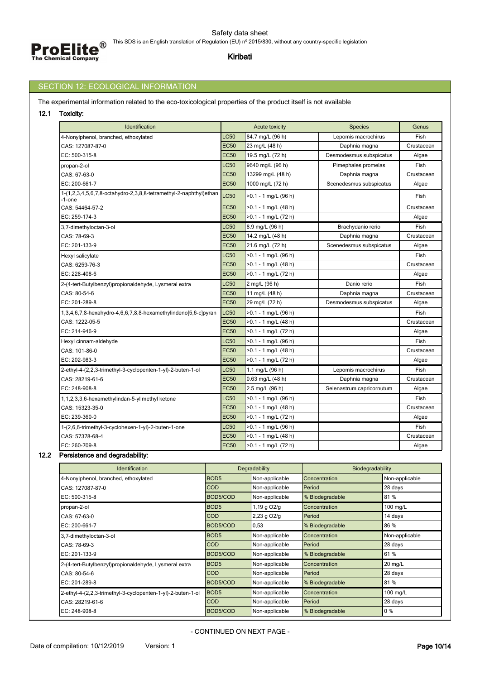

# SECTION 12: ECOLOGICAL INFORMATION

The experimental information related to the eco-toxicological properties of the product itself is not available

**12.1 Toxicity:**

| Identification                                                              |             | <b>Acute toxicity</b>  | <b>Species</b>            | Genus       |
|-----------------------------------------------------------------------------|-------------|------------------------|---------------------------|-------------|
| 4-Nonylphenol, branched, ethoxylated                                        | <b>LC50</b> | 84.7 mg/L (96 h)       | Lepomis macrochirus       | Fish        |
| CAS: 127087-87-0                                                            | <b>EC50</b> | 23 mg/L (48 h)         | Daphnia magna             | Crustacean  |
| EC: 500-315-8                                                               | <b>EC50</b> | 19.5 mg/L (72 h)       | Desmodesmus subspicatus   | Algae       |
| propan-2-ol                                                                 | <b>LC50</b> | 9640 mg/L (96 h)       | Pimephales promelas       | Fish        |
| CAS: 67-63-0                                                                | <b>EC50</b> | 13299 mg/L (48 h)      | Daphnia magna             | Crustacean  |
| EC: 200-661-7                                                               | <b>EC50</b> | 1000 mg/L (72 h)       | Scenedesmus subspicatus   | Algae       |
| 1-(1,2,3,4,5,6,7,8-octahydro-2,3,8,8-tetramethyl-2-naphthyl)ethan<br>-1-one | <b>LC50</b> | >0.1 - 1 mg/L (96 h)   |                           | <b>Fish</b> |
| CAS: 54464-57-2                                                             | <b>EC50</b> | >0.1 - 1 mg/L (48 h)   |                           | Crustacean  |
| EC: 259-174-3                                                               | <b>EC50</b> | $>0.1 - 1$ mg/L (72 h) |                           | Algae       |
| 3,7-dimethyloctan-3-ol                                                      | <b>LC50</b> | 8.9 mg/L (96 h)        | Brachydanio rerio         | Fish        |
| CAS: 78-69-3                                                                | <b>EC50</b> | 14.2 mg/L (48 h)       | Daphnia magna             | Crustacean  |
| EC: 201-133-9                                                               | <b>EC50</b> | 21.6 mg/L (72 h)       | Scenedesmus subspicatus   | Algae       |
| Hexyl salicylate                                                            | <b>LC50</b> | >0.1 - 1 mg/L (96 h)   |                           | Fish        |
| CAS: 6259-76-3                                                              | <b>EC50</b> | >0.1 - 1 mg/L (48 h)   |                           | Crustacean  |
| EC: 228-408-6                                                               | <b>EC50</b> | >0.1 - 1 mg/L (72 h)   |                           | Algae       |
| 2-(4-tert-Butylbenzyl)propionaldehyde, Lysmeral extra                       | <b>LC50</b> | 2 mg/L (96 h)          | Danio rerio               | Fish        |
| CAS: 80-54-6                                                                | <b>EC50</b> | 11 mg/L (48 h)         | Daphnia magna             | Crustacean  |
| EC: 201-289-8                                                               | <b>EC50</b> | 29 mg/L (72 h)         | Desmodesmus subspicatus   | Algae       |
| 1,3,4,6,7,8-hexahydro-4,6,6,7,8,8-hexamethylindeno[5,6-c]pyran              | <b>LC50</b> | >0.1 - 1 mg/L (96 h)   |                           | Fish        |
| CAS: 1222-05-5                                                              | <b>EC50</b> | >0.1 - 1 mg/L (48 h)   |                           | Crustacean  |
| EC: 214-946-9                                                               | <b>EC50</b> | >0.1 - 1 mg/L (72 h)   |                           | Algae       |
| Hexyl cinnam-aldehyde                                                       | <b>LC50</b> | >0.1 - 1 mg/L (96 h)   |                           | Fish        |
| CAS: 101-86-0                                                               | <b>EC50</b> | >0.1 - 1 mg/L (48 h)   |                           | Crustacean  |
| EC: 202-983-3                                                               | <b>EC50</b> | >0.1 - 1 mg/L (72 h)   |                           | Algae       |
| 2-ethyl-4-(2,2,3-trimethyl-3-cyclopenten-1-yl)-2-buten-1-ol                 | <b>LC50</b> | 1.1 mg/L (96 h)        | Lepomis macrochirus       | Fish        |
| CAS: 28219-61-6                                                             | <b>EC50</b> | 0.63 mg/L (48 h)       | Daphnia magna             | Crustacean  |
| EC: 248-908-8                                                               | <b>EC50</b> | 2.5 mg/L (96 h)        | Selenastrum capricornutum | Algae       |
| 1,1,2,3,3,6-hexamethylindan-5-yl methyl ketone                              | <b>LC50</b> | >0.1 - 1 mg/L (96 h)   |                           | Fish        |
| CAS: 15323-35-0                                                             | <b>EC50</b> | >0.1 - 1 mg/L (48 h)   |                           | Crustacean  |
| EC: 239-360-0                                                               | <b>EC50</b> | >0.1 - 1 mg/L (72 h)   |                           | Algae       |
| 1-(2,6,6-trimethyl-3-cyclohexen-1-yl)-2-buten-1-one                         | <b>LC50</b> | >0.1 - 1 mg/L (96 h)   |                           | Fish        |
| CAS: 57378-68-4                                                             | <b>EC50</b> | >0.1 - 1 mg/L (48 h)   |                           | Crustacean  |
| EC: 260-709-8                                                               | <b>EC50</b> | >0.1 - 1 mg/L (72 h)   |                           | Algae       |

# **12.2 Persistence and degradability:**

| Identification                                              |                  | Degradability    | Biodegradability |                |
|-------------------------------------------------------------|------------------|------------------|------------------|----------------|
| 4-Nonylphenol, branched, ethoxylated                        | BOD <sub>5</sub> | Non-applicable   | Concentration    | Non-applicable |
| CAS: 127087-87-0                                            | <b>COD</b>       | Non-applicable   | Period           | 28 days        |
| EC: 500-315-8                                               | BOD5/COD         | Non-applicable   | % Biodegradable  | 81%            |
| propan-2-ol                                                 | BOD <sub>5</sub> | 1,19 $q$ O2/ $q$ | Concentration    | 100 mg/L       |
| CAS: 67-63-0                                                | <b>COD</b>       | $2,23$ g $O2/q$  | Period           | 14 days        |
| EC: 200-661-7                                               | BOD5/COD         | 0,53             | % Biodegradable  | 86 %           |
| 3,7-dimethyloctan-3-ol                                      | BOD <sub>5</sub> | Non-applicable   | Concentration    | Non-applicable |
| CAS: 78-69-3                                                | <b>COD</b>       | Non-applicable   | Period           | 28 days        |
| EC: 201-133-9                                               | BOD5/COD         | Non-applicable   | % Biodegradable  | 61 %           |
| 2-(4-tert-Butylbenzyl)propionaldehyde, Lysmeral extra       | BOD <sub>5</sub> | Non-applicable   | Concentration    | $20$ mg/L      |
| CAS: 80-54-6                                                | <b>COD</b>       | Non-applicable   | Period           | 28 days        |
| EC: 201-289-8                                               | BOD5/COD         | Non-applicable   | % Biodegradable  | 81%            |
| 2-ethyl-4-(2,2,3-trimethyl-3-cyclopenten-1-yl)-2-buten-1-ol | BOD <sub>5</sub> | Non-applicable   | Concentration    | 100 mg/L       |
| CAS: 28219-61-6                                             | <b>COD</b>       | Non-applicable   | Period           | 28 days        |
| EC: 248-908-8                                               | BOD5/COD         | Non-applicable   | % Biodegradable  | $0\%$          |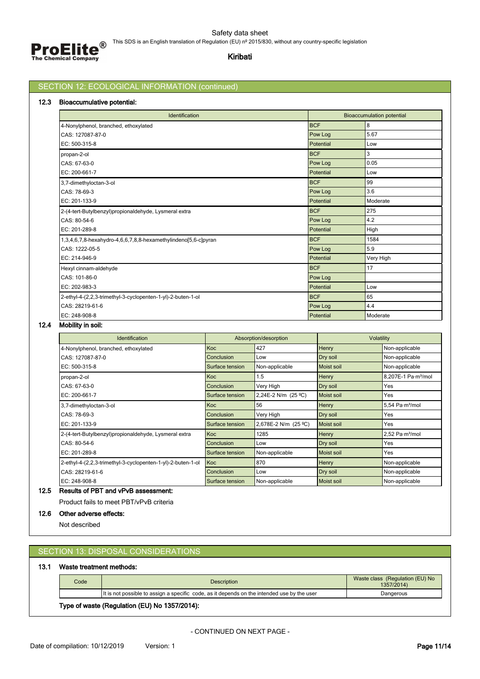

# SECTION 12: ECOLOGICAL INFORMATION (continued)

## **12.3 Bioaccumulative potential:**

| Identification                                                 |            | <b>Bioaccumulation potential</b> |
|----------------------------------------------------------------|------------|----------------------------------|
| 4-Nonylphenol, branched, ethoxylated                           | <b>BCF</b> | 8                                |
| CAS: 127087-87-0                                               | Pow Log    | 5.67                             |
| EC: 500-315-8                                                  | Potential  | Low                              |
| propan-2-ol                                                    | <b>BCF</b> | 3                                |
| CAS: 67-63-0                                                   | Pow Log    | 0.05                             |
| EC: 200-661-7                                                  | Potential  | Low                              |
| 3,7-dimethyloctan-3-ol                                         | <b>BCF</b> | 99                               |
| CAS: 78-69-3                                                   | Pow Log    | 3.6                              |
| EC: 201-133-9                                                  | Potential  | Moderate                         |
| 2-(4-tert-Butylbenzyl)propionaldehyde, Lysmeral extra          | <b>BCF</b> | 275                              |
| CAS: 80-54-6                                                   | Pow Log    | 4.2                              |
| EC: 201-289-8                                                  | Potential  | High                             |
| 1,3,4,6,7,8-hexahydro-4,6,6,7,8,8-hexamethylindeno[5,6-c]pyran | <b>BCF</b> | 1584                             |
| CAS: 1222-05-5                                                 | Pow Log    | 5.9                              |
| EC: 214-946-9                                                  | Potential  | Very High                        |
| Hexyl cinnam-aldehyde                                          | <b>BCF</b> | 17                               |
| CAS: 101-86-0                                                  | Pow Log    |                                  |
| EC: 202-983-3                                                  | Potential  | Low                              |
| 2-ethyl-4-(2,2,3-trimethyl-3-cyclopenten-1-yl)-2-buten-1-ol    | <b>BCF</b> | 65                               |
| CAS: 28219-61-6                                                | Pow Log    | 4.4                              |
| EC: 248-908-8                                                  | Potential  | Moderate                         |

### **12.4 Mobility in soil:**

| <b>Identification</b>                                       |                 | Absorption/desorption | Volatility        |                                     |
|-------------------------------------------------------------|-----------------|-----------------------|-------------------|-------------------------------------|
| 4-Nonylphenol, branched, ethoxylated                        | Koc             | 427                   | Henry             | Non-applicable                      |
| CAS: 127087-87-0                                            | Conclusion      | Low                   | Dry soil          | Non-applicable                      |
| EC: 500-315-8                                               | Surface tension | Non-applicable        | Moist soil        | Non-applicable                      |
| propan-2-ol                                                 | Koc             | 1.5                   | Henry             | 8,207E-1 Pa·m <sup>3</sup> /mol     |
| CAS: 67-63-0                                                | Conclusion      | Very High             | Dry soil          | Yes                                 |
| EC: 200-661-7                                               | Surface tension | 2,24E-2 N/m (25 °C)   | <b>Moist soil</b> | Yes                                 |
| 3,7-dimethyloctan-3-ol                                      | Koc             | 56                    | Henry             | $5.54$ Pa $\cdot$ m $\frac{3}{mol}$ |
| CAS: 78-69-3                                                | Conclusion      | Very High             | Dry soil          | Yes                                 |
| EC: 201-133-9                                               | Surface tension | 2,678E-2 N/m (25 °C)  | <b>Moist soil</b> | Yes                                 |
| 2-(4-tert-Butylbenzyl)propionaldehyde, Lysmeral extra       | Koc             | 1285                  | Henry             | 2,52 Pa·m <sup>3</sup> /mol         |
| CAS: 80-54-6                                                | Conclusion      | Low                   | Dry soil          | Yes                                 |
| EC: 201-289-8                                               | Surface tension | Non-applicable        | Moist soil        | Yes                                 |
| 2-ethyl-4-(2,2,3-trimethyl-3-cyclopenten-1-yl)-2-buten-1-ol | Koc             | 870                   | Henry             | Non-applicable                      |
| CAS: 28219-61-6                                             | Conclusion      | Low                   | Dry soil          | Non-applicable                      |
| EC: 248-908-8                                               | Surface tension | Non-applicable        | <b>Moist soil</b> | Non-applicable                      |

# **12.5 Results of PBT and vPvB assessment:**

Product fails to meet PBT/vPvB criteria

### **12.6 Other adverse effects:**

Not described

# SECTION 13: DISPOSAL CONSIDERATIONS

## **13.1 Waste treatment methods:**

| Code | <b>Description</b>                                                                          | Waste class (Regulation (EU) No<br>1357/2014) |
|------|---------------------------------------------------------------------------------------------|-----------------------------------------------|
|      | It is not possible to assign a specific code, as it depends on the intended use by the user | Dangerous                                     |
|      | Type of waste (Regulation (EU) No 1357/2014):                                               |                                               |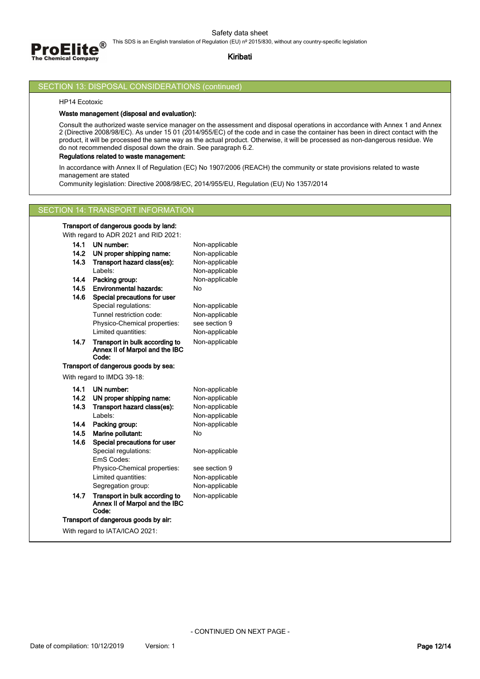

### **Kiribati**

### SECTION 13: DISPOSAL CONSIDERATIONS (continued)

HP14 Ecotoxic

### **Waste management (disposal and evaluation):**

Consult the authorized waste service manager on the assessment and disposal operations in accordance with Annex 1 and Annex 2 (Directive 2008/98/EC). As under 15 01 (2014/955/EC) of the code and in case the container has been in direct contact with the product, it will be processed the same way as the actual product. Otherwise, it will be processed as non-dangerous residue. We do not recommended disposal down the drain. See paragraph 6.2.

## **Regulations related to waste management:**

In accordance with Annex II of Regulation (EC) No 1907/2006 (REACH) the community or state provisions related to waste management are stated

Community legislation: Directive 2008/98/EC, 2014/955/EU, Regulation (EU) No 1357/2014

## SECTION 14: TRANSPORT INFORMATION

**Transport of dangerous goods by land:** With regard to ADR 2021 and RID 2021:

|      | <u>WIIITEYAIU IO ADN ZUZT ANU NID ZUZT.</u>                               |                |
|------|---------------------------------------------------------------------------|----------------|
| 14.1 | UN number:                                                                | Non-applicable |
| 14.2 | UN proper shipping name:                                                  | Non-applicable |
| 14.3 | Transport hazard class(es):                                               | Non-applicable |
|      | l abels:                                                                  | Non-applicable |
| 14.4 | Packing group:                                                            | Non-applicable |
| 14.5 | <b>Environmental hazards:</b>                                             | No             |
| 14.6 | Special precautions for user                                              |                |
|      | Special regulations:                                                      | Non-applicable |
|      | Tunnel restriction code:                                                  | Non-applicable |
|      | Physico-Chemical properties:                                              | see section 9  |
|      | Limited quantities:                                                       | Non-applicable |
| 14.7 | Transport in bulk according to<br>Annex II of Marpol and the IBC          | Non-applicable |
|      | Code:                                                                     |                |
|      | Transport of dangerous goods by sea:                                      |                |
|      | With regard to IMDG 39-18:                                                |                |
|      |                                                                           |                |
| 14.1 | UN number:                                                                | Non-applicable |
| 14.2 | UN proper shipping name:                                                  | Non-applicable |
| 14.3 | Transport hazard class(es):                                               | Non-applicable |
|      | Labels:                                                                   | Non-applicable |
| 14.4 | Packing group:                                                            | Non-applicable |
| 14.5 | Marine pollutant:                                                         | No             |
| 14.6 | Special precautions for user                                              |                |
|      | Special regulations:                                                      | Non-applicable |
|      | EmS Codes:                                                                |                |
|      | Physico-Chemical properties:                                              | see section 9  |
|      | Limited quantities:                                                       | Non-applicable |
|      | Segregation group:                                                        | Non-applicable |
| 14.7 | Transport in bulk according to<br>Annex II of Marpol and the IBC<br>Code: | Non-applicable |
|      | Transport of dangerous goods by air:                                      |                |

With regard to IATA/ICAO 2021: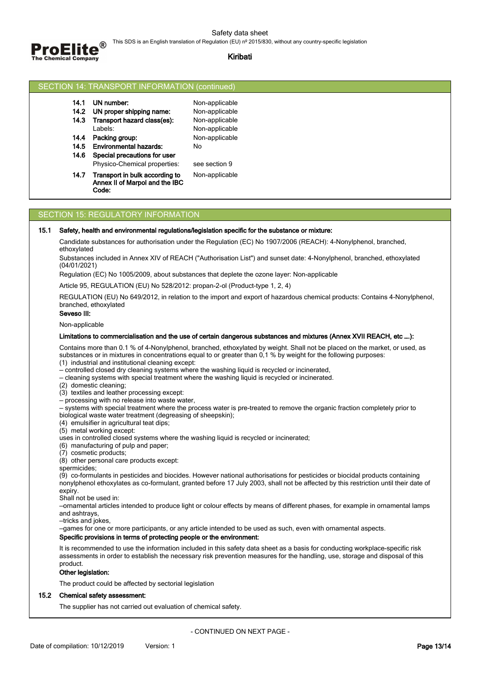

|  | SECTION 14: TRANSPORT INFORMATION (continued) |  |  |
|--|-----------------------------------------------|--|--|
|--|-----------------------------------------------|--|--|

| 14.1 | UN number:                                                                |                |
|------|---------------------------------------------------------------------------|----------------|
|      |                                                                           | Non-applicable |
| 14.2 | UN proper shipping name:                                                  | Non-applicable |
| 14.3 | Transport hazard class(es):                                               | Non-applicable |
|      | Labels:                                                                   | Non-applicable |
| 14.4 | Packing group:                                                            | Non-applicable |
| 14.5 | <b>Environmental hazards:</b>                                             | N٥             |
| 14.6 | Special precautions for user                                              |                |
|      | Physico-Chemical properties:                                              | see section 9  |
| 14.7 | Transport in bulk according to<br>Annex II of Marpol and the IBC<br>Code: | Non-applicable |

### SECTION 15: REGULATORY INFORMATION

#### **15.1 Safety, health and environmental regulations/legislation specific for the substance or mixture:**

Candidate substances for authorisation under the Regulation (EC) No 1907/2006 (REACH): 4-Nonylphenol, branched, ethoxylated

Substances included in Annex XIV of REACH ("Authorisation List") and sunset date: 4-Nonylphenol, branched, ethoxylated (04/01/2021)

Regulation (EC) No 1005/2009, about substances that deplete the ozone layer: Non-applicable

Article 95, REGULATION (EU) No 528/2012: propan-2-ol (Product-type 1, 2, 4)

REGULATION (EU) No 649/2012, in relation to the import and export of hazardous chemical products: Contains 4-Nonylphenol, branched, ethoxylated

**Seveso III:**

Non-applicable

#### **Limitations to commercialisation and the use of certain dangerous substances and mixtures (Annex XVII REACH, etc ….):**

Contains more than 0.1 % of 4-Nonylphenol, branched, ethoxylated by weight. Shall not be placed on the market, or used, as substances or in mixtures in concentrations equal to or greater than 0,1 % by weight for the following purposes:

(1) industrial and institutional cleaning except:

— controlled closed dry cleaning systems where the washing liquid is recycled or incinerated,

— cleaning systems with special treatment where the washing liquid is recycled or incinerated.

(2) domestic cleaning;

(3) textiles and leather processing except:

— processing with no release into waste water,

— systems with special treatment where the process water is pre-treated to remove the organic fraction completely prior to biological waste water treatment (degreasing of sheepskin);

(4) emulsifier in agricultural teat dips;

(5) metal working except:

uses in controlled closed systems where the washing liquid is recycled or incinerated;

(6) manufacturing of pulp and paper;

(7) cosmetic products;

(8) other personal care products except:

spermicides;

(9) co-formulants in pesticides and biocides. However national authorisations for pesticides or biocidal products containing nonylphenol ethoxylates as co-formulant, granted before 17 July 2003, shall not be affected by this restriction until their date of expiry.

Shall not be used in:

—ornamental articles intended to produce light or colour effects by means of different phases, for example in ornamental lamps and ashtrays,

—tricks and jokes,

—games for one or more participants, or any article intended to be used as such, even with ornamental aspects.

### **Specific provisions in terms of protecting people or the environment:**

It is recommended to use the information included in this safety data sheet as a basis for conducting workplace-specific risk assessments in order to establish the necessary risk prevention measures for the handling, use, storage and disposal of this product.

#### **Other legislation:**

The product could be affected by sectorial legislation

## **15.2 Chemical safety assessment:**

The supplier has not carried out evaluation of chemical safety.